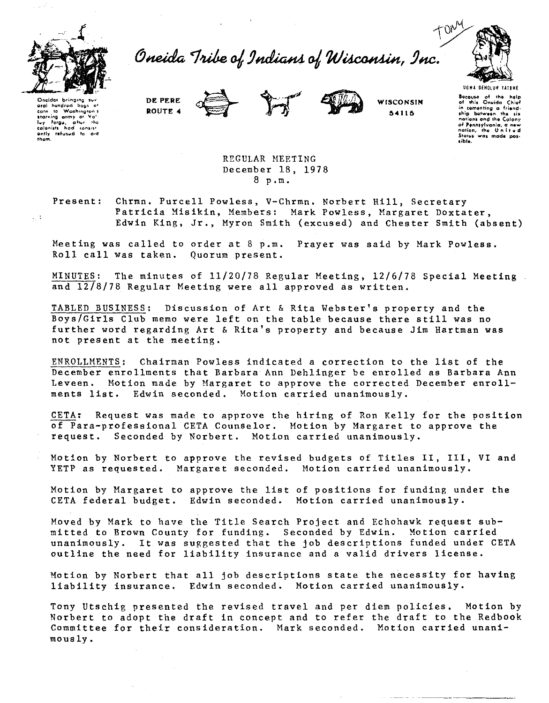

Oneida Tribe of Indians of Wisconsin, Inc.



Onaidas bringing sui hundrod oral ່bogs of ∵.<br>10 Washington's corn carn to washington's<br>starving army at Vallie<br>lead onists had consisted that<br>eadonists had consist<br>ently refused to aid<br>them.







Because of the help<br>of this Oneida Chief in comenting a friendnotions and the Calony nations and the Calony<br>of Pennsylvania, a new<br>nation, the United narion, the United<br>States was made pos-<br>sible.

REGULAR MEETING December 18, 1978  $8 p.m.$ 

Present:

 $\sim 1$ 

Chrmn. Purcell Powless, V-Chrmn. Norbert Hill, Secretary Patricia Misikin, Members: Mark Powless, Margaret Doxtater, Edwin King, Jr., Myron Smith (excused) and Chester Smith (absent)

Meeting was called to order at 8 p.m. Prayer was said by Mark Powless. Roll call was taken. Quorum present.

MINUTES: The minutes of 11/20/78 Regular Meeting, 12/6/78 Special Meeting. and 12/8/78 Regular Meeting were all approved as written.

TABLED BUSINESS: Discussion of Art & Rita Webster's property and the Boys/Girls Club memo were left on the table because there still was no further word regarding Art & Rita's property and because Jim Hartman was not present at the meeting.

ENROLLMENTS: Chairman Powless indicated a correction to the list of the December enrollments that Barbara Ann Dehlinger be enrolled as Barbara Ann Leveen. Motion made by Margaret to approve the corrected December enrollments list. Edwin seconded. Motion carried unanimously.

CETA: Request was made to approve the hiring of Ron Kelly for the position of Para-professional CETA Counselor. Motion by Margaret to approve the request. Seconded by Norbert. Motion carried unanimously.

Motion by Norbert to approve the revised budgets of Titles II, III, VI and YETP as requested. Margaret seconded. Motion carried unanimously.

Motion by Margaret to approve the list of positions for funding under the CETA federal budget. Edwin seconded. Motion carried unanimously.

Moved by Mark to have the Title Search Project and Echohawk request submitted to Brown County for funding. Seconded by Edwin. Motion carried unanimously. It was suggested that the job descriptions funded under CETA outline the need for liability insurance and a valid drivers license.

Motion by Norbert that all job descriptions state the necessity for having liability insurance. Edwin seconded. Motion carried unanimously.

Tony Utschig presented the revised travel and per diem policies. Motion by Norbert to adopt the draft in concept and to refer the draft to the Redbook Committee for their consideration. Mark seconded. Motion carried unani $mous1v.$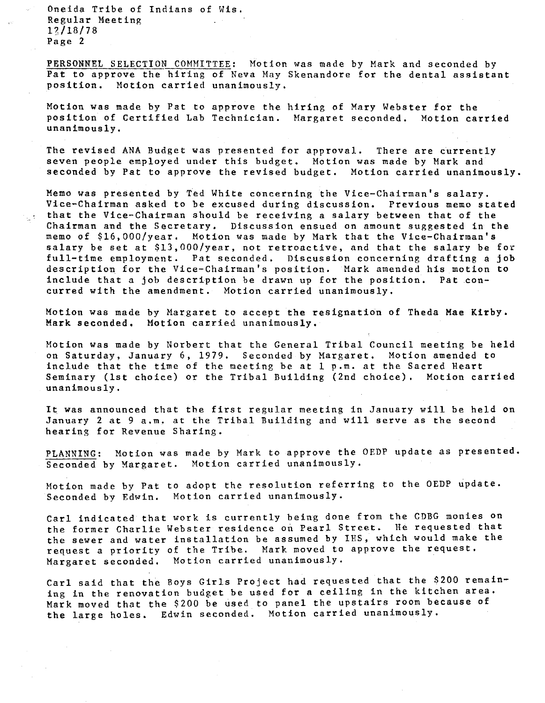Oneida Tribe of Indians of Wis. Regular Meeting 1?/18/78 Page 2

PERSONNEL SELECTION COMMITTEE: Motion was made by Mark and seconded by Pat to approve the hiring of Neva May Skenandore for the dental assistant position. Motion carried unanimously,

Motion was made by Pat to approve the hiring of Mary Webster for the position of Certified Lab Technician. Margaret seconded. Motion carried unanimously,

The revised ANA Budget was presented for approval. There are currently seven people employed under this budget. Motion was made by Mark and seconded by Pat to approve the revised budget. Motion carried unanimously.

Memo was presented by Ted White concerning the Vice-Chairman's salary. Vice-Chairman asked to be excused during discussion. Previous memo stated that the Vice-Chairman should be receiving a salary between that of the Chairman and the Secretary. Discussion ensued on amount suggested in the memo of \$16,000/year. Motion was made by Mark that the Vice-Chairman's salary be set at \$13,000/year, not retroactive, and that the salary be for full-time employment. Pat seconded. Discussion concerning drafting a job description for the Vice-Chairman's position. Mark amended his motion to include that a job description be drawn up for the position. Pat concurred with the amendment. Motion carried unanimously.

Motion was made by Margaret to accept the resignation of Theda Mae Kirby. Mark seconded, Motion carried unanimously.

Motion was made by Norbert that the General Tribal Council meeting be held on Saturday, January 6, 1979. Seconded by Margaret, Motion amended to include that the time of the meeting be at 1 p.m. at the Sacred Heart Seminary (1st choice) or the Tribal Building (2nd choice), Motion carried unanimously.

It was announced that the first regular meeting in January will be held on January 2 at 9 a.m. at the Tribal Building and will serve as the second hearing for Revenue Sharing.

?LANNING: Motion was made by Mark to approve the OEDP update as presented. Seconded by Margaret. Motion carried unanimously.

Motion made by Pat to adopt the resolution referring to the OEDP update. Seconded by Edwin. Motion carried unanimously.

Carl indicated that work is currently being done from the CDBG monies on the former Charlie Webster residence on Pearl Street. He requested that the sewer and water installation be assumed by IRS, which would make the request a priority of the Tribe. Mark moved to approve the request. Margaret seconded. Motion carried unanimously.

Carl said that the Boys Girls Project had requested that the \$200 remaining in the renovation budget be used for a ceiling in the kitchen area. Mark moved that the \$200 be used to panel the upstairs room because of the large holes. Edwin seconded. Motion carried unanimously.